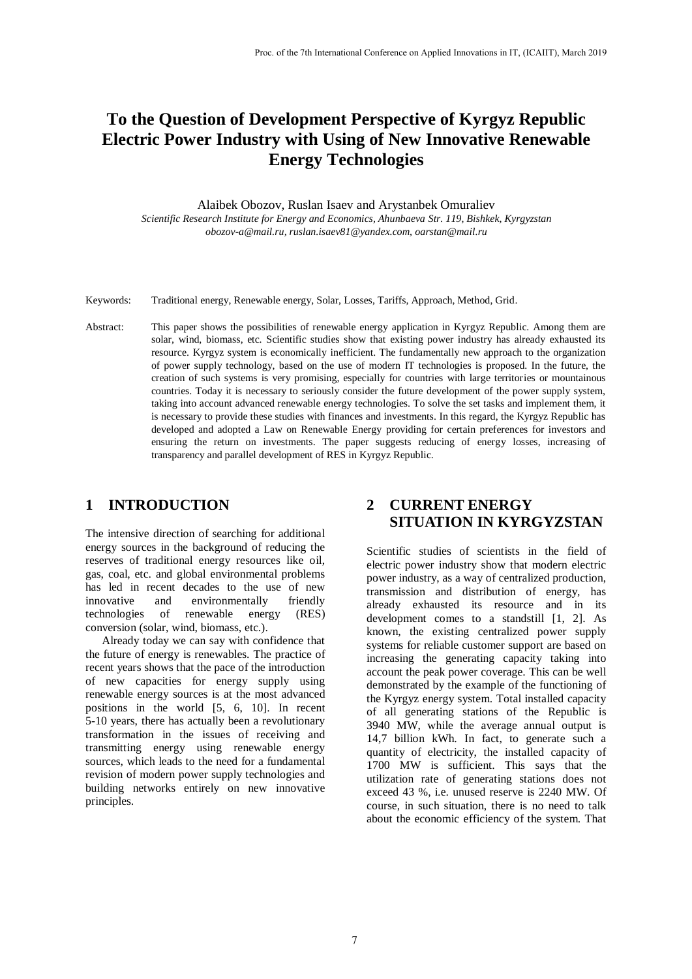# **To the Question of Development Perspective of Kyrgyz Republic Electric Power Industry with Using of New Innovative Renewable Energy Technologies**

Alaibek Obozov, Ruslan Isaev and Arystanbek Omuraliev

*Scientific Research Institute for Energy and Economics, Ahunbaeva Str. 119, Bishkek, Kyrgyzstan obozov-a@mail.ru, ruslan.isaev81@yandex.com, oarstan@mail.ru*

- Keywords: Traditional energy, Renewable energy, Solar, Losses, Tariffs, Approach, Method, Grid.
- Abstract: This paper shows the possibilities of renewable energy application in Kyrgyz Republic. Among them are solar, wind, biomass, etc. Scientific studies show that existing power industry has already exhausted its resource. Kyrgyz system is economically inefficient. The fundamentally new approach to the organization of power supply technology, based on the use of modern IT technologies is proposed. In the future, the creation of such systems is very promising, especially for countries with large territories or mountainous countries. Today it is necessary to seriously consider the future development of the power supply system, taking into account advanced renewable energy technologies. To solve the set tasks and implement them, it is necessary to provide these studies with finances and investments. In this regard, the Kyrgyz Republic has developed and adopted a Law on Renewable Energy providing for certain preferences for investors and ensuring the return on investments. The paper suggests reducing of energy losses, increasing of transparency and parallel development of RES in Kyrgyz Republic.

#### **1 INTRODUCTION**

The intensive direction of searching for additional energy sources in the background of reducing the reserves of traditional energy resources like oil, gas, coal, etc. and global environmental problems has led in recent decades to the use of new innovative and environmentally friendly technologies of renewable energy (RES) conversion (solar, wind, biomass, etc.).

Already today we can say with confidence that the future of energy is renewables. The practice of recent years shows that the pace of the introduction of new capacities for energy supply using renewable energy sources is at the most advanced positions in the world [5, 6, 10]. In recent 5-10 years, there has actually been a revolutionary transformation in the issues of receiving and transmitting energy using renewable energy sources, which leads to the need for a fundamental revision of modern power supply technologies and building networks entirely on new innovative principles.

# **2 CURRENT ENERGY SITUATION IN KYRGYZSTAN**

Scientific studies of scientists in the field of electric power industry show that modern electric power industry, as a way of centralized production, transmission and distribution of energy, has already exhausted its resource and in its development comes to a standstill [1, 2]. As known, the existing centralized power supply systems for reliable customer support are based on increasing the generating capacity taking into account the peak power coverage. This can be well demonstrated by the example of the functioning of the Kyrgyz energy system. Total installed capacity of all generating stations of the Republic is 3940 MW, while the average annual output is 14,7 billion kWh. In fact, to generate such a quantity of electricity, the installed capacity of 1700 MW is sufficient. This says that the utilization rate of generating stations does not exceed 43 %, i.e. unused reserve is 2240 MW. Of course, in such situation, there is no need to talk about the economic efficiency of the system. That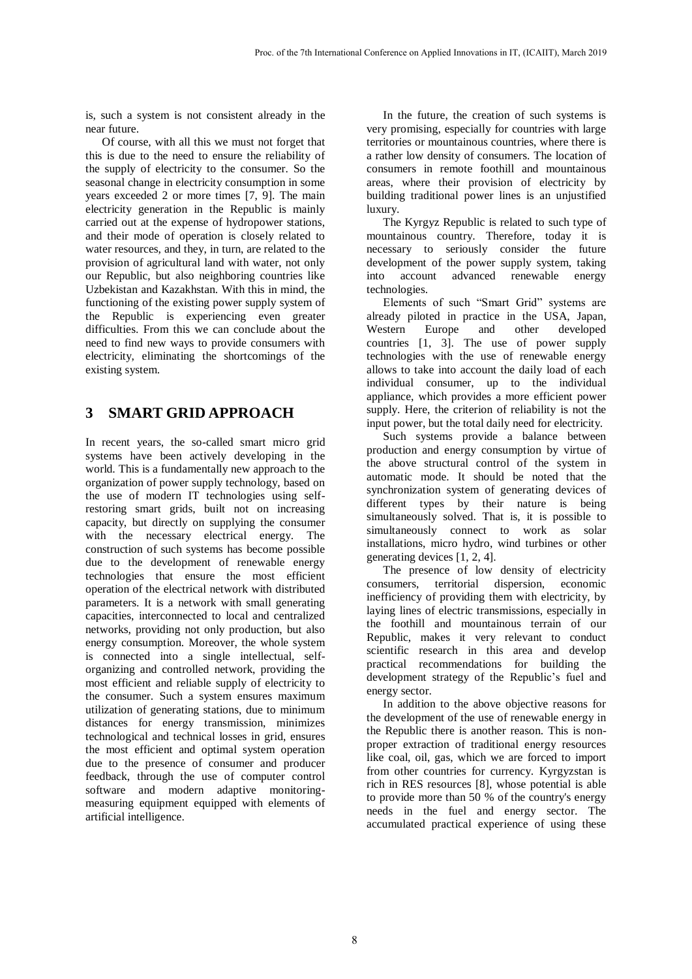is, such a system is not consistent already in the near future.

Of course, with all this we must not forget that this is due to the need to ensure the reliability of the supply of electricity to the consumer. So the seasonal change in electricity consumption in some years exceeded 2 or more times [7, 9]. The main electricity generation in the Republic is mainly carried out at the expense of hydropower stations, and their mode of operation is closely related to water resources, and they, in turn, are related to the provision of agricultural land with water, not only our Republic, but also neighboring countries like Uzbekistan and Kazakhstan. With this in mind, the functioning of the existing power supply system of the Republic is experiencing even greater difficulties. From this we can conclude about the need to find new ways to provide consumers with electricity, eliminating the shortcomings of the existing system.

# **3 SMART GRID APPROACH**

In recent years, the so-called smart micro grid systems have been actively developing in the world. This is a fundamentally new approach to the organization of power supply technology, based on the use of modern IT technologies using selfrestoring smart grids, built not on increasing capacity, but directly on supplying the consumer with the necessary electrical energy. The construction of such systems has become possible due to the development of renewable energy technologies that ensure the most efficient operation of the electrical network with distributed parameters. It is a network with small generating capacities, interconnected to local and centralized networks, providing not only production, but also energy consumption. Moreover, the whole system is connected into a single intellectual, selforganizing and controlled network, providing the most efficient and reliable supply of electricity to the consumer. Such a system ensures maximum utilization of generating stations, due to minimum distances for energy transmission, minimizes technological and technical losses in grid, ensures the most efficient and optimal system operation due to the presence of consumer and producer feedback, through the use of computer control software and modern adaptive monitoringmeasuring equipment equipped with elements of artificial intelligence.

In the future, the creation of such systems is very promising, especially for countries with large territories or mountainous countries, where there is a rather low density of consumers. The location of consumers in remote foothill and mountainous areas, where their provision of electricity by building traditional power lines is an unjustified luxury.

The Kyrgyz Republic is related to such type of mountainous country. Therefore, today it is necessary to seriously consider the future development of the power supply system, taking into account advanced renewable energy technologies.

Elements of such "Smart Grid" systems are already piloted in practice in the USA, Japan, Western Europe and other developed countries [1, 3]. The use of power supply technologies with the use of renewable energy allows to take into account the daily load of each individual consumer, up to the individual appliance, which provides a more efficient power supply. Here, the criterion of reliability is not the input power, but the total daily need for electricity.

Such systems provide a balance between production and energy consumption by virtue of the above structural control of the system in automatic mode. It should be noted that the synchronization system of generating devices of different types by their nature is being simultaneously solved. That is, it is possible to simultaneously connect to work as solar installations, micro hydro, wind turbines or other generating devices [1, 2, 4].

The presence of low density of electricity consumers, territorial dispersion, economic inefficiency of providing them with electricity, by laying lines of electric transmissions, especially in the foothill and mountainous terrain of our Republic, makes it very relevant to conduct scientific research in this area and develop practical recommendations for building the development strategy of the Republic's fuel and energy sector.

In addition to the above objective reasons for the development of the use of renewable energy in the Republic there is another reason. This is nonproper extraction of traditional energy resources like coal, oil, gas, which we are forced to import from other countries for currency. Kyrgyzstan is rich in RES resources [8], whose potential is able to provide more than 50 % of the country's energy needs in the fuel and energy sector. The accumulated practical experience of using these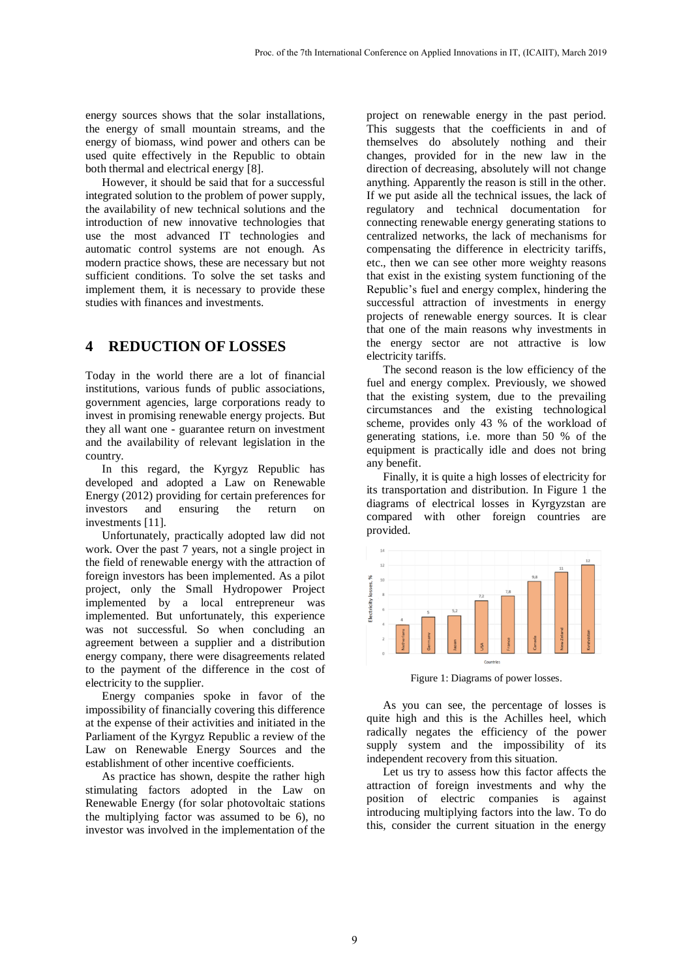energy sources shows that the solar installations, the energy of small mountain streams, and the energy of biomass, wind power and others can be used quite effectively in the Republic to obtain both thermal and electrical energy [8].

However, it should be said that for a successful integrated solution to the problem of power supply, the availability of new technical solutions and the introduction of new innovative technologies that use the most advanced IT technologies and automatic control systems are not enough. As modern practice shows, these are necessary but not sufficient conditions. To solve the set tasks and implement them, it is necessary to provide these studies with finances and investments.

## **4 REDUCTION OF LOSSES**

Today in the world there are a lot of financial institutions, various funds of public associations, government agencies, large corporations ready to invest in promising renewable energy projects. But they all want one - guarantee return on investment and the availability of relevant legislation in the country.

In this regard, the Kyrgyz Republic has developed and adopted a Law on Renewable Energy (2012) providing for certain preferences for investors and ensuring the return on investments [11].

Unfortunately, practically adopted law did not work. Over the past 7 years, not a single project in the field of renewable energy with the attraction of foreign investors has been implemented. As a pilot project, only the Small Hydropower Project implemented by a local entrepreneur was implemented. But unfortunately, this experience was not successful. So when concluding an agreement between a supplier and a distribution energy company, there were disagreements related to the payment of the difference in the cost of electricity to the supplier.

Energy companies spoke in favor of the impossibility of financially covering this difference at the expense of their activities and initiated in the Parliament of the Kyrgyz Republic a review of the Law on Renewable Energy Sources and the establishment of other incentive coefficients.

As practice has shown, despite the rather high stimulating factors adopted in the Law on Renewable Energy (for solar photovoltaic stations the multiplying factor was assumed to be 6), no investor was involved in the implementation of the project on renewable energy in the past period. This suggests that the coefficients in and of themselves do absolutely nothing and their changes, provided for in the new law in the direction of decreasing, absolutely will not change anything. Apparently the reason is still in the other. If we put aside all the technical issues, the lack of regulatory and technical documentation for connecting renewable energy generating stations to centralized networks, the lack of mechanisms for compensating the difference in electricity tariffs, etc., then we can see other more weighty reasons that exist in the existing system functioning of the Republic's fuel and energy complex, hindering the successful attraction of investments in energy projects of renewable energy sources. It is clear that one of the main reasons why investments in the energy sector are not attractive is low electricity tariffs.

The second reason is the low efficiency of the fuel and energy complex. Previously, we showed that the existing system, due to the prevailing circumstances and the existing technological scheme, provides only 43 % of the workload of generating stations, i.e. more than 50 % of the equipment is practically idle and does not bring any benefit.

Finally, it is quite a high losses of electricity for its transportation and distribution. In Figure 1 the diagrams of electrical losses in Kyrgyzstan are compared with other foreign countries are provided.



Figure 1: Diagrams of power losses.

As you can see, the percentage of losses is quite high and this is the Achilles heel, which radically negates the efficiency of the power supply system and the impossibility of its independent recovery from this situation.

Let us try to assess how this factor affects the attraction of foreign investments and why the position of electric companies is against introducing multiplying factors into the law. To do this, consider the current situation in the energy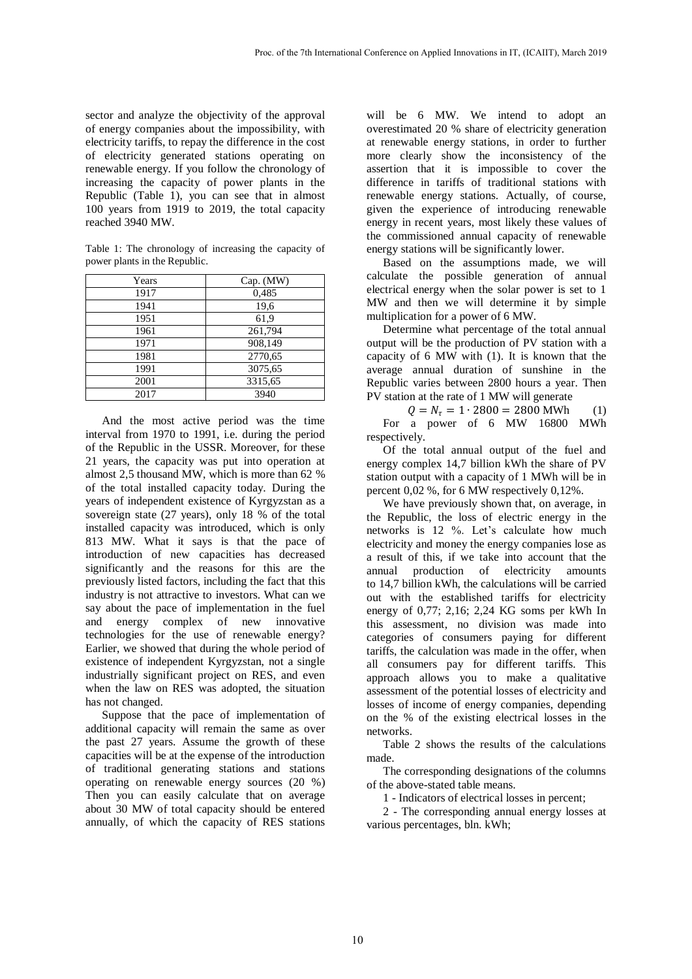sector and analyze the objectivity of the approval of energy companies about the impossibility, with electricity tariffs, to repay the difference in the cost of electricity generated stations operating on renewable energy. If you follow the chronology of increasing the capacity of power plants in the Republic (Table 1), you can see that in almost 100 years from 1919 to 2019, the total capacity reached 3940 MW.

Table 1: The chronology of increasing the capacity of power plants in the Republic.

| Years | Cap. (MW) |
|-------|-----------|
| 1917  | 0,485     |
| 1941  | 19,6      |
| 1951  | 61,9      |
| 1961  | 261,794   |
| 1971  | 908,149   |
| 1981  | 2770,65   |
| 1991  | 3075,65   |
| 2001  | 3315,65   |
| 2017  | 3940      |

And the most active period was the time interval from 1970 to 1991, i.e. during the period of the Republic in the USSR. Moreover, for these 21 years, the capacity was put into operation at almost 2,5 thousand MW, which is more than 62 % of the total installed capacity today. During the years of independent existence of Kyrgyzstan as a sovereign state (27 years), only 18 % of the total installed capacity was introduced, which is only 813 MW. What it says is that the pace of introduction of new capacities has decreased significantly and the reasons for this are the previously listed factors, including the fact that this industry is not attractive to investors. What can we say about the pace of implementation in the fuel and energy complex of new innovative technologies for the use of renewable energy? Earlier, we showed that during the whole period of existence of independent Kyrgyzstan, not a single industrially significant project on RES, and even when the law on RES was adopted, the situation has not changed.

Suppose that the pace of implementation of additional capacity will remain the same as over the past 27 years. Assume the growth of these capacities will be at the expense of the introduction of traditional generating stations and stations operating on renewable energy sources (20 %) Then you can easily calculate that on average about 30 MW of total capacity should be entered annually, of which the capacity of RES stations

will be 6 MW. We intend to adopt an overestimated 20 % share of electricity generation at renewable energy stations, in order to further more clearly show the inconsistency of the assertion that it is impossible to cover the difference in tariffs of traditional stations with renewable energy stations. Actually, of course, given the experience of introducing renewable energy in recent years, most likely these values of the commissioned annual capacity of renewable energy stations will be significantly lower.

Based on the assumptions made, we will calculate the possible generation of annual electrical energy when the solar power is set to 1 MW and then we will determine it by simple multiplication for a power of 6 MW.

Determine what percentage of the total annual output will be the production of PV station with a capacity of 6 MW with (1). It is known that the average annual duration of sunshine in the Republic varies between 2800 hours a year. Then PV station at the rate of 1 MW will generate

 $Q = N<sub>\tau</sub> = 1 \cdot 2800 = 2800$  MWh (1) For a power of 6 MW 16800 MWh respectively.

Of the total annual output of the fuel and energy complex 14,7 billion kWh the share of PV station output with a capacity of 1 MWh will be in percent 0,02 %, for 6 MW respectively 0,12%.

We have previously shown that, on average, in the Republic, the loss of electric energy in the networks is 12 %. Let's calculate how much electricity and money the energy companies lose as a result of this, if we take into account that the annual production of electricity amounts to 14,7 billion kWh, the calculations will be carried out with the established tariffs for electricity energy of 0,77; 2,16; 2,24 KG soms per kWh In this assessment, no division was made into categories of consumers paying for different tariffs, the calculation was made in the offer, when all consumers pay for different tariffs. This approach allows you to make a qualitative assessment of the potential losses of electricity and losses of income of energy companies, depending on the % of the existing electrical losses in the networks.

Table 2 shows the results of the calculations made.

The corresponding designations of the columns of the above-stated table means.

1 - Indicators of electrical losses in percent;

2 - The corresponding annual energy losses at various percentages, bln. kWh;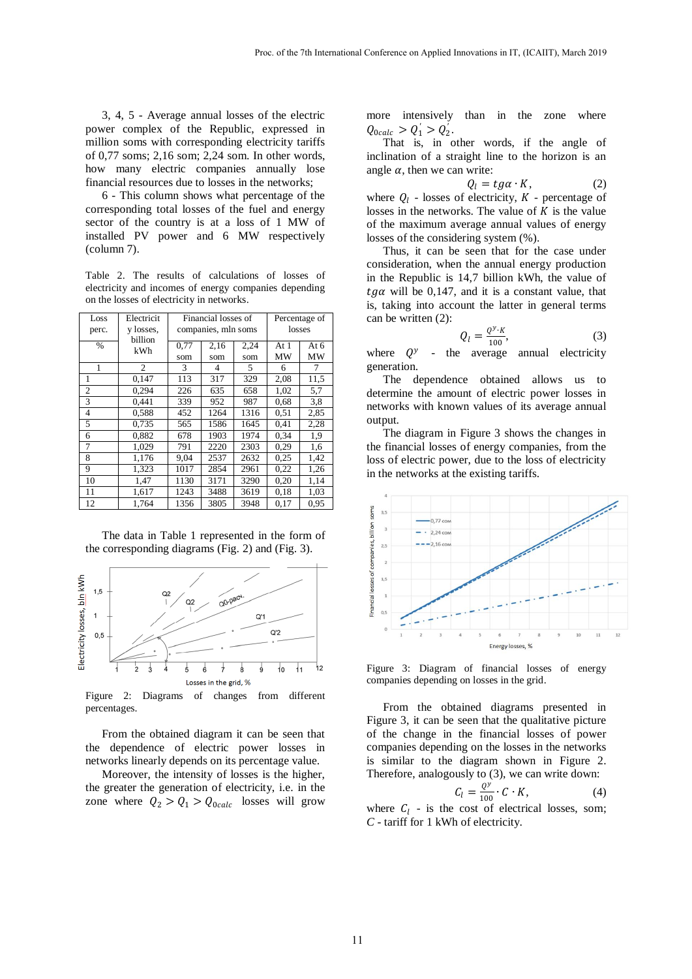3, 4, 5 - Average annual losses of the electric power complex of the Republic, expressed in million soms with corresponding electricity tariffs of 0,77 soms; 2,16 som; 2,24 som. In other words, how many electric companies annually lose financial resources due to losses in the networks;

6 - This column shows what percentage of the corresponding total losses of the fuel and energy sector of the country is at a loss of 1 MW of installed PV power and 6 MW respectively (column 7).

Table 2. The results of calculations of losses of electricity and incomes of energy companies depending on the losses of electricity in networks.

| Loss<br>perc. | Electricit<br>y losses.<br>billion | Financial losses of<br>companies, mln soms |      |      | Percentage of<br>losses |      |
|---------------|------------------------------------|--------------------------------------------|------|------|-------------------------|------|
| $\%$          | kWh                                | 0,77                                       | 2,16 | 2,24 | At 1                    | At 6 |
|               |                                    | som                                        | som  | som  | MW                      | МW   |
| 1             | 2                                  | 3                                          | 4    | 5    | 6                       | 7    |
| 1             | 0.147                              | 113                                        | 317  | 329  | 2,08                    | 11,5 |
| 2             | 0,294                              | 226                                        | 635  | 658  | 1,02                    | 5,7  |
| 3             | 0.441                              | 339                                        | 952  | 987  | 0.68                    | 3,8  |
| 4             | 0,588                              | 452                                        | 1264 | 1316 | 0.51                    | 2,85 |
| 5             | 0,735                              | 565                                        | 1586 | 1645 | 0.41                    | 2,28 |
| 6             | 0,882                              | 678                                        | 1903 | 1974 | 0.34                    | 1,9  |
| 7             | 1,029                              | 791                                        | 2220 | 2303 | 0.29                    | 1,6  |
| 8             | 1,176                              | 9,04                                       | 2537 | 2632 | 0.25                    | 1,42 |
| 9             | 1,323                              | 1017                                       | 2854 | 2961 | 0.22                    | 1,26 |
| 10            | 1,47                               | 1130                                       | 3171 | 3290 | 0.20                    | 1,14 |
| 11            | 1,617                              | 1243                                       | 3488 | 3619 | 0.18                    | 1,03 |
| 12            | 1.764                              | 1356                                       | 3805 | 3948 | 0,17                    | 0.95 |

The data in Table 1 represented in the form of the corresponding diagrams (Fig. 2) and (Fig. 3).



Figure 2: Diagrams of changes from different percentages.

From the obtained diagram it can be seen that the dependence of electric power losses in networks linearly depends on its percentage value.

Moreover, the intensity of losses is the higher, the greater the generation of electricity, i.e. in the zone where  $Q_2 > Q_1 > Q_{\text{o}calc}$  losses will grow more intensively than in the zone where  $Q_{\text{o}calc} > Q_1' > Q_2'.$ 

That is, in other words, if the angle of inclination of a straight line to the horizon is an angle  $\alpha$ , then we can write:

$$
Q_l = t g \alpha \cdot K, \qquad (2)
$$

where  $Q_l$  - losses of electricity,  $K$  - percentage of losses in the networks. The value of  $K$  is the value of the maximum average annual values of energy losses of the considering system (%).

Thus, it can be seen that for the case under consideration, when the annual energy production in the Republic is 14,7 billion kWh, the value of  $tg\alpha$  will be 0,147, and it is a constant value, that is, taking into account the latter in general terms can be written (2):

$$
Q_l = \frac{Q^{\gamma} \cdot K}{100},\tag{3}
$$

where  $Q^y$ the average annual electricity generation.

The dependence obtained allows us to determine the amount of electric power losses in networks with known values of its average annual output.

The diagram in Figure 3 shows the changes in the financial losses of energy companies, from the loss of electric power, due to the loss of electricity in the networks at the existing tariffs.



Figure 3: Diagram of financial losses of energy companies depending on losses in the grid.

From the obtained diagrams presented in Figure 3, it can be seen that the qualitative picture of the change in the financial losses of power companies depending on the losses in the networks is similar to the diagram shown in Figure 2. Therefore, analogously to (3), we can write down:

$$
C_l = \frac{Q^y}{100} \cdot C \cdot K,\tag{4}
$$

where  $C_l$  - is the cost of electrical losses, som; *C* - tariff for 1 kWh of electricity.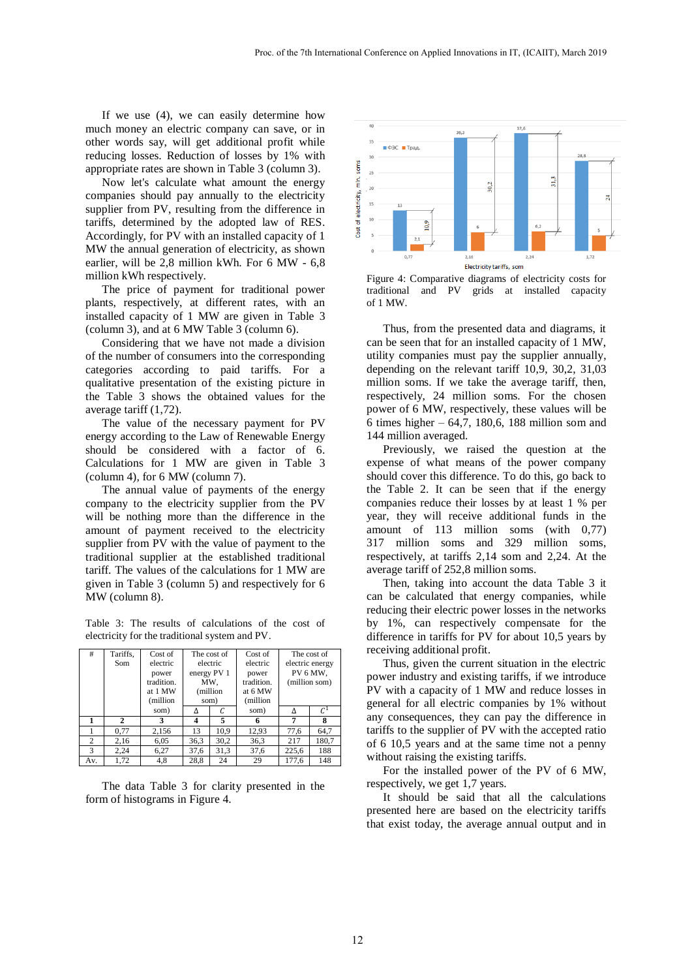If we use (4), we can easily determine how much money an electric company can save, or in other words say, will get additional profit while reducing losses. Reduction of losses by 1% with appropriate rates are shown in Table 3 (column 3).

Now let's calculate what amount the energy companies should pay annually to the electricity supplier from PV, resulting from the difference in tariffs, determined by the adopted law of RES. Accordingly, for PV with an installed capacity of 1 MW the annual generation of electricity, as shown earlier, will be 2,8 million kWh. For 6 MW - 6,8 million kWh respectively.

The price of payment for traditional power plants, respectively, at different rates, with an installed capacity of 1 MW are given in Table 3 (column 3), and at 6 MW Table 3 (column 6).

Considering that we have not made a division of the number of consumers into the corresponding categories according to paid tariffs. For a qualitative presentation of the existing picture in the Table 3 shows the obtained values for the average tariff (1,72).

The value of the necessary payment for PV energy according to the Law of Renewable Energy should be considered with a factor of 6. Calculations for 1 MW are given in Table 3 (column 4), for 6 MW (column 7).

The annual value of payments of the energy company to the electricity supplier from the PV will be nothing more than the difference in the amount of payment received to the electricity supplier from PV with the value of payment to the traditional supplier at the established traditional tariff. The values of the calculations for 1 MW are given in Table 3 (column 5) and respectively for 6 MW (column 8).

Table 3: The results of calculations of the cost of electricity for the traditional system and PV.

| #   | Tariffs,<br>Som | Cost of<br>electric<br>power<br>tradition.<br>at 1 MW<br>(million | The cost of<br>electric<br>energy PV 1<br>MW.<br>(million<br>som) |      | Cost of<br>electric<br>power<br>tradition.<br>at 6 MW<br>(million | The cost of<br>electric energy<br>PV 6 MW,<br>(million som) |                 |
|-----|-----------------|-------------------------------------------------------------------|-------------------------------------------------------------------|------|-------------------------------------------------------------------|-------------------------------------------------------------|-----------------|
|     |                 | som)                                                              |                                                                   |      | som)                                                              |                                                             | $\mathcal{C}^1$ |
|     | $\mathbf{2}$    | 3                                                                 | 4                                                                 | 5    | 6                                                                 |                                                             | 8               |
|     | 0.77            | 2,156                                                             | 13                                                                | 10.9 | 12,93                                                             | 77,6                                                        | 64.7            |
| 2   | 2,16            | 6,05                                                              | 36,3                                                              | 30,2 | 36,3                                                              | 217                                                         | 180,7           |
| 3   | 2.24            | 6,27                                                              | 37,6                                                              | 31,3 | 37,6                                                              | 225,6                                                       | 188             |
| Av. | 1,72            | 4,8                                                               | 28,8                                                              | 24   | 29                                                                | 177,6                                                       | 148             |

The data Table 3 for clarity presented in the form of histograms in Figure 4.



Figure 4: Comparative diagrams of electricity costs for traditional and PV grids at installed capacity of 1 MW.

Thus, from the presented data and diagrams, it can be seen that for an installed capacity of 1 MW, utility companies must pay the supplier annually, depending on the relevant tariff 10,9, 30,2, 31,03 million soms. If we take the average tariff, then, respectively, 24 million soms. For the chosen power of 6 MW, respectively, these values will be 6 times higher – 64,7, 180,6, 188 million som and 144 million averaged.

Previously, we raised the question at the expense of what means of the power company should cover this difference. To do this, go back to the Table 2. It can be seen that if the energy companies reduce their losses by at least 1 % per year, they will receive additional funds in the amount of 113 million soms (with 0,77) 317 million soms and 329 million soms, respectively, at tariffs 2,14 som and 2,24. At the average tariff of 252,8 million soms.

Then, taking into account the data Table 3 it can be calculated that energy companies, while reducing their electric power losses in the networks by 1%, can respectively compensate for the difference in tariffs for PV for about 10,5 years by receiving additional profit.

Thus, given the current situation in the electric power industry and existing tariffs, if we introduce PV with a capacity of 1 MW and reduce losses in general for all electric companies by 1% without any consequences, they can pay the difference in tariffs to the supplier of PV with the accepted ratio of 6 10,5 years and at the same time not a penny without raising the existing tariffs.

For the installed power of the PV of 6 MW, respectively, we get 1,7 years.

It should be said that all the calculations presented here are based on the electricity tariffs that exist today, the average annual output and in